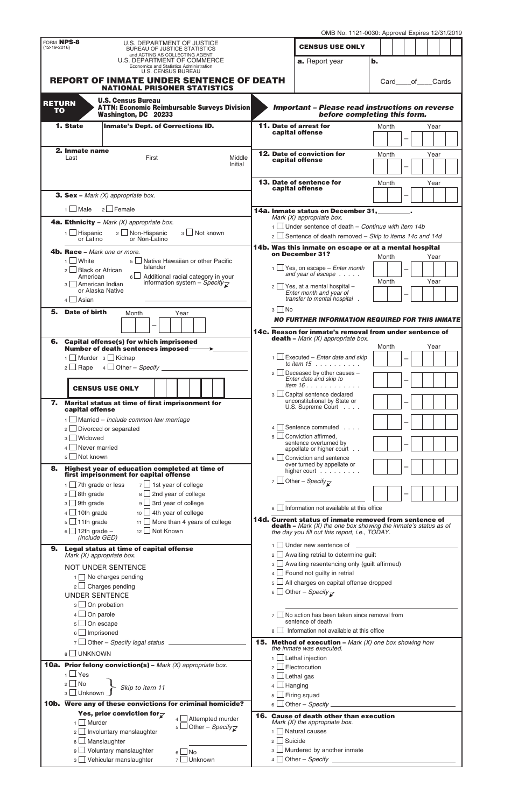|                                                                                        |                                                                                                                       |                                                                                          |                                                                   |                                                                     | OMB No. 1121-0030: Approval Expires 12/31/2019                                                                                              |                                                                                                                             |    |               |  |          |  |  |  |
|----------------------------------------------------------------------------------------|-----------------------------------------------------------------------------------------------------------------------|------------------------------------------------------------------------------------------|-------------------------------------------------------------------|---------------------------------------------------------------------|---------------------------------------------------------------------------------------------------------------------------------------------|-----------------------------------------------------------------------------------------------------------------------------|----|---------------|--|----------|--|--|--|
| FORM NPS-8<br>$(12-19-2016)$                                                           |                                                                                                                       |                                                                                          | U.S. DEPARTMENT OF JUSTICE<br><b>BUREAU OF JUSTICE STATISTICS</b> |                                                                     |                                                                                                                                             | <b>CENSUS USE ONLY</b>                                                                                                      |    |               |  |          |  |  |  |
|                                                                                        |                                                                                                                       |                                                                                          | and ACTING AS COLLECTING AGENT<br>U.S. DEPARTMENT OF COMMERCE     |                                                                     |                                                                                                                                             | a. Report year                                                                                                              | b. |               |  |          |  |  |  |
| Economics and Statistics Administration<br><b>U.S. CENSUS BUREAU</b>                   |                                                                                                                       |                                                                                          |                                                                   |                                                                     |                                                                                                                                             |                                                                                                                             |    |               |  |          |  |  |  |
| <b>REPORT OF INMATE UNDER SENTENCE OF DEATH</b><br><b>NATIONAL PRISONER STATISTICS</b> |                                                                                                                       |                                                                                          |                                                                   |                                                                     |                                                                                                                                             |                                                                                                                             |    | Card          |  | of Cards |  |  |  |
| <b>RETURN</b>                                                                          |                                                                                                                       | <b>U.S. Census Bureau</b>                                                                |                                                                   |                                                                     |                                                                                                                                             |                                                                                                                             |    |               |  |          |  |  |  |
| <b>TO</b>                                                                              |                                                                                                                       | Washington, DC 20233                                                                     | <b>ATTN: Economic Reimbursable Surveys Division</b>               |                                                                     |                                                                                                                                             | <b>Important - Please read instructions on reverse</b><br>before completing this form.                                      |    |               |  |          |  |  |  |
|                                                                                        | 1. State<br><b>Inmate's Dept. of Corrections ID.</b>                                                                  |                                                                                          |                                                                   |                                                                     |                                                                                                                                             | 11. Date of arrest for                                                                                                      |    | Year<br>Month |  |          |  |  |  |
|                                                                                        |                                                                                                                       |                                                                                          |                                                                   |                                                                     |                                                                                                                                             | capital offense                                                                                                             |    |               |  |          |  |  |  |
|                                                                                        | 2. Inmate name                                                                                                        | First                                                                                    |                                                                   |                                                                     |                                                                                                                                             | 12. Date of conviction for                                                                                                  |    | Month         |  | Year     |  |  |  |
|                                                                                        | Last                                                                                                                  |                                                                                          | Middle<br>Initial                                                 |                                                                     |                                                                                                                                             | capital offense                                                                                                             |    |               |  |          |  |  |  |
|                                                                                        |                                                                                                                       |                                                                                          |                                                                   |                                                                     |                                                                                                                                             | 13. Date of sentence for                                                                                                    |    | Month         |  | Year     |  |  |  |
|                                                                                        |                                                                                                                       | <b>3. Sex</b> – Mark $(X)$ appropriate box.                                              |                                                                   |                                                                     |                                                                                                                                             | capital offense                                                                                                             |    |               |  |          |  |  |  |
|                                                                                        | $1$ Male                                                                                                              | $2 \Box$ Female                                                                          |                                                                   |                                                                     |                                                                                                                                             | 14a. Inmate status on December 31, _______.                                                                                 |    |               |  |          |  |  |  |
|                                                                                        |                                                                                                                       | <b>4a. Ethnicity</b> – Mark $(X)$ appropriate box.                                       |                                                                   |                                                                     |                                                                                                                                             | Mark $(X)$ appropriate box.                                                                                                 |    |               |  |          |  |  |  |
|                                                                                        | 3 Not known<br>2 □ Non-Hispanic<br>$1$ Hispanic                                                                       |                                                                                          |                                                                   |                                                                     |                                                                                                                                             | $1 \Box$ Under sentence of death – Continue with item 14b<br>$2 \Box$ Sentence of death removed – Skip to items 14c and 14d |    |               |  |          |  |  |  |
|                                                                                        | or Latino<br>or Non-Latino<br>4b. Race - Mark one or more.<br>$1 \cup$ White<br>5 SU Native Hawaiian or other Pacific |                                                                                          |                                                                   |                                                                     |                                                                                                                                             | 14b. Was this inmate on escape or at a mental hospital                                                                      |    |               |  |          |  |  |  |
|                                                                                        |                                                                                                                       |                                                                                          |                                                                   |                                                                     |                                                                                                                                             | on December 31?                                                                                                             |    | Month         |  | Year     |  |  |  |
|                                                                                        | $2 \Box$ Black or African<br>American                                                                                 | Islander                                                                                 | $6\Box$ Additional racial category in your                        |                                                                     |                                                                                                                                             | $1 \cup$ Yes, on escape – <i>Enter month</i><br>and year of escape                                                          |    |               |  |          |  |  |  |
|                                                                                        | 3   American Indian<br>or Alaska Native                                                                               |                                                                                          | information system - Specify $\overline{\mathcal{L}}$             |                                                                     |                                                                                                                                             | $2 \Box$ Yes, at a mental hospital -                                                                                        |    | Month         |  | Year     |  |  |  |
|                                                                                        | $4 \Box$ Asian                                                                                                        |                                                                                          |                                                                   |                                                                     |                                                                                                                                             | Enter month and year of<br>transfer to mental hospital.                                                                     |    |               |  |          |  |  |  |
| 5.                                                                                     | Date of birth<br>Month<br>Year                                                                                        |                                                                                          |                                                                   |                                                                     | $3 \Box$ No                                                                                                                                 |                                                                                                                             |    |               |  |          |  |  |  |
|                                                                                        |                                                                                                                       |                                                                                          |                                                                   |                                                                     | <b>NO FURTHER INFORMATION REQUIRED FOR THIS INMATE</b><br>14c. Reason for inmate's removal from under sentence of                           |                                                                                                                             |    |               |  |          |  |  |  |
|                                                                                        | 6. Capital offense(s) for which imprisoned                                                                            |                                                                                          |                                                                   |                                                                     |                                                                                                                                             | <b>death</b> – Mark $(X)$ appropriate box.                                                                                  |    |               |  |          |  |  |  |
|                                                                                        | 1 Murder 3 Kidnap                                                                                                     | Number of death sentences imposed-                                                       |                                                                   |                                                                     |                                                                                                                                             | $1$ $\Box$ Executed – <i>Enter date and skip</i>                                                                            |    | Month         |  | Year     |  |  |  |
|                                                                                        |                                                                                                                       |                                                                                          |                                                                   |                                                                     |                                                                                                                                             | to item $15 \ldots \ldots \ldots$                                                                                           |    |               |  |          |  |  |  |
|                                                                                        |                                                                                                                       |                                                                                          |                                                                   |                                                                     |                                                                                                                                             | 2 Deceased by other causes -<br>Enter date and skip to                                                                      |    |               |  |          |  |  |  |
|                                                                                        |                                                                                                                       | <b>CENSUS USE ONLY</b>                                                                   |                                                                   |                                                                     |                                                                                                                                             | item 16.<br>3   Capital sentence declared                                                                                   |    |               |  |          |  |  |  |
| 7.                                                                                     | capital offense                                                                                                       | Marital status at time of first imprisonment for                                         |                                                                   |                                                                     |                                                                                                                                             | unconstitutional by State or<br>U.S. Supreme Court                                                                          |    |               |  |          |  |  |  |
|                                                                                        |                                                                                                                       | $1$ Married – Include common law marriage                                                |                                                                   |                                                                     |                                                                                                                                             |                                                                                                                             |    |               |  |          |  |  |  |
|                                                                                        | 3   Widowed                                                                                                           | $2 \Box$ Divorced or separated                                                           |                                                                   |                                                                     | 4 <sup>1</sup>                                                                                                                              | Sentence commuted<br>$5 \Box$ Conviction affirmed.                                                                          |    |               |  |          |  |  |  |
|                                                                                        | Never married<br>4 I                                                                                                  |                                                                                          |                                                                   |                                                                     |                                                                                                                                             | sentence overturned by<br>appellate or higher court                                                                         |    |               |  |          |  |  |  |
|                                                                                        | 5 □ Not known                                                                                                         |                                                                                          |                                                                   |                                                                     |                                                                                                                                             | $6 \Box$ Conviction and sentence<br>over turned by appellate or                                                             |    |               |  |          |  |  |  |
| 8.                                                                                     |                                                                                                                       | Highest year of education completed at time of<br>first imprisonment for capital offense |                                                                   |                                                                     |                                                                                                                                             | higher court $\ldots$                                                                                                       |    |               |  |          |  |  |  |
|                                                                                        | $1 \cup$ 7th grade or less                                                                                            |                                                                                          | $7 \Box$ 1st year of college                                      |                                                                     |                                                                                                                                             | 7 Other – Specify $\overline{\phantom{B}}$                                                                                  |    |               |  |          |  |  |  |
|                                                                                        | $2 \square$ 8th grade<br>$3 \Box$ 9th grade                                                                           |                                                                                          | 8 <u> </u> 2nd year of college<br>$9 \perp$ 3rd year of college   |                                                                     |                                                                                                                                             |                                                                                                                             |    |               |  |          |  |  |  |
|                                                                                        | $4 \Box$ 10th grade                                                                                                   | $10$ 4th year of college                                                                 |                                                                   |                                                                     | <sub>8</sub>                                                                                                                                | Information not available at this office<br>14d. Current status of inmate removed from sentence of                          |    |               |  |          |  |  |  |
|                                                                                        | $5 \Box$ 11th grade<br>$11$ More than 4 years of college<br>12 Not Known<br>$6 \Box$ 12th grade –<br>(Include GED)    |                                                                                          |                                                                   |                                                                     |                                                                                                                                             | <b>death</b> – Mark $(X)$ the one box showing the inmate's status as of<br>the day you fill out this report, i.e., TODAY.   |    |               |  |          |  |  |  |
|                                                                                        |                                                                                                                       |                                                                                          |                                                                   |                                                                     |                                                                                                                                             | 1 Under new sentence of ______                                                                                              |    |               |  |          |  |  |  |
| 9.                                                                                     | Mark (X) appropriate box.                                                                                             | Legal status at time of capital offense                                                  |                                                                   |                                                                     |                                                                                                                                             | $2 \Box$ Awaiting retrial to determine guilt                                                                                |    |               |  |          |  |  |  |
|                                                                                        |                                                                                                                       | <b>NOT UNDER SENTENCE</b>                                                                |                                                                   |                                                                     | 3 Awaiting resentencing only (guilt affirmed)<br>$4 \Box$ Found not guilty in retrial                                                       |                                                                                                                             |    |               |  |          |  |  |  |
|                                                                                        | $1 \square$ No charges pending<br>$2 \square$ Charges pending                                                         |                                                                                          |                                                                   |                                                                     |                                                                                                                                             | 5 All charges on capital offense dropped                                                                                    |    |               |  |          |  |  |  |
|                                                                                        | <b>UNDER SENTENCE</b>                                                                                                 |                                                                                          |                                                                   |                                                                     |                                                                                                                                             | 6 Other – Specify $\overline{\phantom{a}}$                                                                                  |    |               |  |          |  |  |  |
|                                                                                        | $3 \Box$ On probation<br>$4 \Box$ On parole                                                                           |                                                                                          |                                                                   |                                                                     |                                                                                                                                             |                                                                                                                             |    |               |  |          |  |  |  |
|                                                                                        | $5 \square$ On escape                                                                                                 |                                                                                          |                                                                   |                                                                     |                                                                                                                                             | No action has been taken since removal from<br>sentence of death                                                            |    |               |  |          |  |  |  |
|                                                                                        | $6 \Box$ Imprisoned<br>$7 \Box$ Other - Specify legal status $\Box$                                                   |                                                                                          |                                                                   |                                                                     | $8$   $\overline{\phantom{0}}$<br>Information not available at this office<br><b>15. Method of execution - Mark (X) one box showing how</b> |                                                                                                                             |    |               |  |          |  |  |  |
|                                                                                        | 8 UNKNOWN                                                                                                             |                                                                                          |                                                                   |                                                                     |                                                                                                                                             | the inmate was executed.                                                                                                    |    |               |  |          |  |  |  |
|                                                                                        |                                                                                                                       | <b>10a. Prior felony conviction(s)</b> - Mark $(X)$ appropriate box.                     |                                                                   |                                                                     |                                                                                                                                             | $1 \Box$ Lethal injection<br>$\Box$ Electrocution                                                                           |    |               |  |          |  |  |  |
|                                                                                        | $1 \cup Y$ es                                                                                                         |                                                                                          |                                                                   |                                                                     | 2 <sup>1</sup><br>$3 \Box$ Lethal gas                                                                                                       |                                                                                                                             |    |               |  |          |  |  |  |
|                                                                                        | $2 \square$ No<br>Skip to item 11<br>3 Unknown                                                                        |                                                                                          |                                                                   |                                                                     | $4 \Box$ Hanging<br>$5 \Box$ Firing squad                                                                                                   |                                                                                                                             |    |               |  |          |  |  |  |
|                                                                                        |                                                                                                                       | 10b. Were any of these convictions for criminal homicide?                                |                                                                   |                                                                     |                                                                                                                                             | 6 ∟                                                                                                                         |    |               |  |          |  |  |  |
|                                                                                        | Yes, prior conviction for $\overline{\mathcal{L}}$<br>$4 \Box$ Attempted murder<br>  Murder                           |                                                                                          |                                                                   |                                                                     |                                                                                                                                             | <b>16. Cause of death other than execution</b>                                                                              |    |               |  |          |  |  |  |
|                                                                                        | 1 <sup>1</sup><br>5 Other - Specify $\mathbb{Z}$<br>$\Box$ Involuntary manslaughter<br>2 l                            |                                                                                          |                                                                   | Mark $(X)$ the appropriate box.<br>Natural causes<br>1 <sub>l</sub> |                                                                                                                                             |                                                                                                                             |    |               |  |          |  |  |  |
|                                                                                        | 8 l                                                                                                                   | $\Box$ Manslaughter                                                                      |                                                                   |                                                                     | $2 \square$ Suicide                                                                                                                         |                                                                                                                             |    |               |  |          |  |  |  |
|                                                                                        |                                                                                                                       | 9 Voluntary manslaughter<br>3 Vehicular manslaughter                                     | $6 \Box$ No<br>7 Unknown                                          |                                                                     |                                                                                                                                             | $3$ Murdered by another inmate<br>$4 \Box$ Other – Specify $\Box$                                                           |    |               |  |          |  |  |  |
|                                                                                        |                                                                                                                       |                                                                                          |                                                                   |                                                                     |                                                                                                                                             |                                                                                                                             |    |               |  |          |  |  |  |